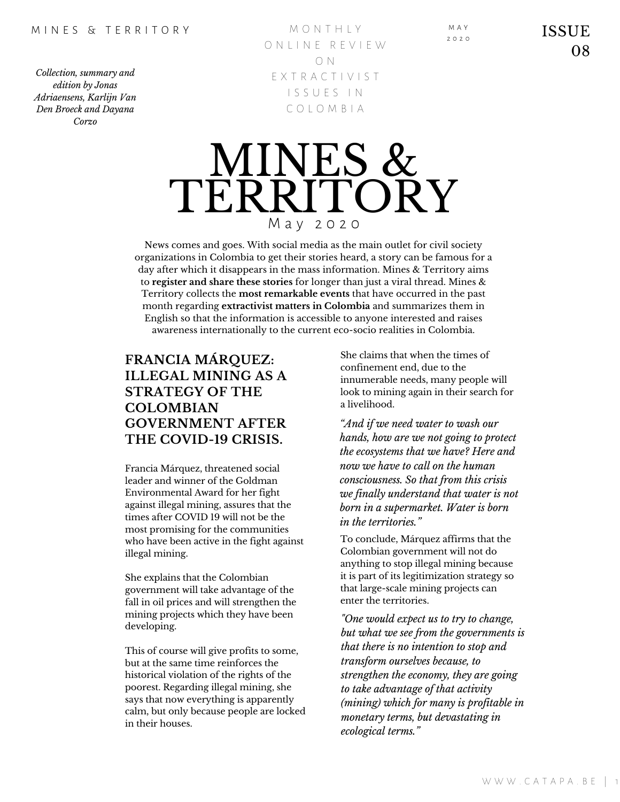*Collection, summary and edition by Jonas Adriaensens, Karlijn Van Den Broeck and Dayana Corzo*

M O N T H L Y O N I I N E R E V I E W O N E X T R A C T I V I S T I S S U E S I N C O L O M B I A



News comes and goes. With social media as the main outlet for civil society organizations in Colombia to get their stories heard, a story can be famous for a day after which it disappears in the mass information. Mines & Territory aims to **register and share these stories** for longer than just a viral thread. Mines & Territory collects the **most remarkable events** that have occurred in the past month regarding **extractivist matters in Colombia** and summarizes them in English so that the information is accessible to anyone interested and raises awareness internationally to the current eco-socio realities in Colombia.

# **FRANCIA MÁRQUEZ: ILLEGAL MINING AS A STRATEGY OF THE COLOMBIAN GOVERNMENT AFTER THE COVID-19 CRISIS.**

Francia Márquez, threatened social leader and winner of the Goldman Environmental Award for her fight against illegal mining, assures that the times after COVID 19 will not be the most promising for the communities who have been active in the fight against illegal mining.

She explains that the Colombian government will take advantage of the fall in oil prices and will strengthen the mining projects which they have been developing.

This of course will give profits to some, but at the same time reinforces the historical violation of the rights of the poorest. Regarding illegal mining, she says that now everything is apparently calm, but only because people are locked in their houses.

She claims that when the times of confinement end, due to the innumerable needs, many people will look to mining again in their search for a livelihood.

M A Y 2 0 2 0

*"And if we need water to wash our hands, how are we not going to protect the ecosystems that we have? Here and now we have to call on the human consciousness. So that from this crisis we finally understand that water is not born in a supermarket. Water is born in the territories."*

To conclude, Márquez affirms that the Colombian government will not do anything to stop illegal mining because it is part of its legitimization strategy so that large-scale mining projects can enter the territories.

*"One would expect us to try to change, but what we see from the governments is that there is no intention to stop and transform ourselves because, to strengthen the economy, they are going to take advantage of that activity (mining) which for many is profitable in monetary terms, but devastating in ecological terms."*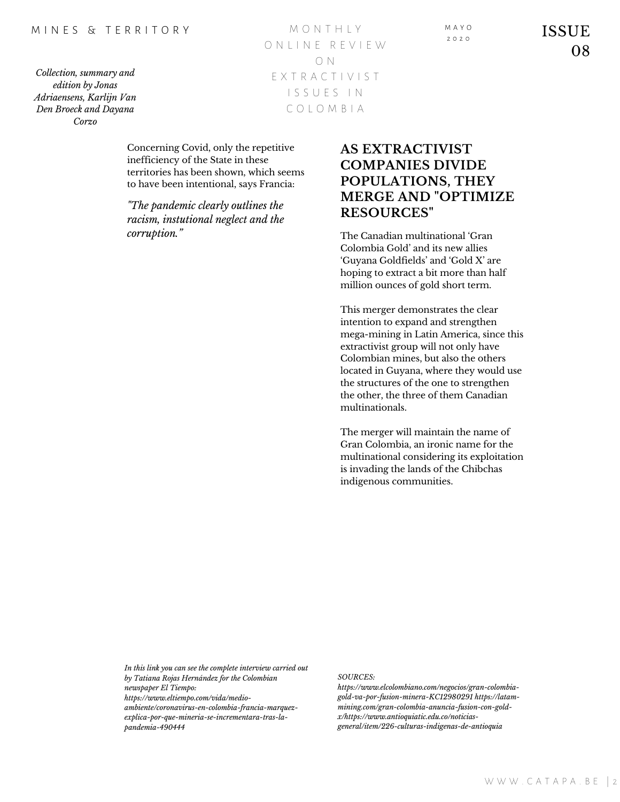### M I N F S & T F R R I T O R Y

*Collection, summary and edition by Jonas Adriaensens, Karlijn Van Den Broeck and Dayana Corzo*

| MONTHIY       |
|---------------|
| ONIINE REVIEW |
| $\cap$ N      |
| FXTRACTIVIST  |
| ISSUES IN     |
| COLOMBIA      |

Concerning Covid, only the repetitive inefficiency of the State in these territories has been shown, which seems to have been intentional, says Francia:

*"The pandemic clearly outlines the racism, instutional neglect and the corruption."* The Canadian multinational 'Gran

# **AS EXTRACTIVIST COMPANIES DIVIDE POPULATIONS, THEY MERGE AND "OPTIMIZE RESOURCES"**

M A Y O  $2020$ 

Colombia Gold' and its new allies 'Guyana Goldfields' and 'Gold X' are hoping to extract a bit more than half million ounces of gold short term.

This merger demonstrates the clear intention to expand and strengthen mega-mining in Latin America, since this extractivist group will not only have Colombian mines, but also the others located in Guyana, where they would use the structures of the one to strengthen the other, the three of them Canadian multinationals.

The merger will maintain the name of Gran Colombia, an ironic name for the multinational considering its exploitation is invading the lands of the Chibchas indigenous communities.

*In this link you can see the complete interview carried out by Tatiana Rojas Hernández for the Colombian newspaper El Tiempo: https://www.eltiempo.com/vida/medioambiente/coronavirus-en-colombia-francia-marquezexplica-por-que-mineria-se-incrementara-tras-la-*

*pandemia-490444*

#### *SOURCES:*

*https://www.elcolombiano.com/negocios/gran-colombiagold-va-por-fusion-minera-KC12980291 https://latammining.com/gran-colombia-anuncia-fusion-con-goldx/https://www.antioquiatic.edu.co/noticiasgeneral/item/226-culturas-indigenas-de-antioquia*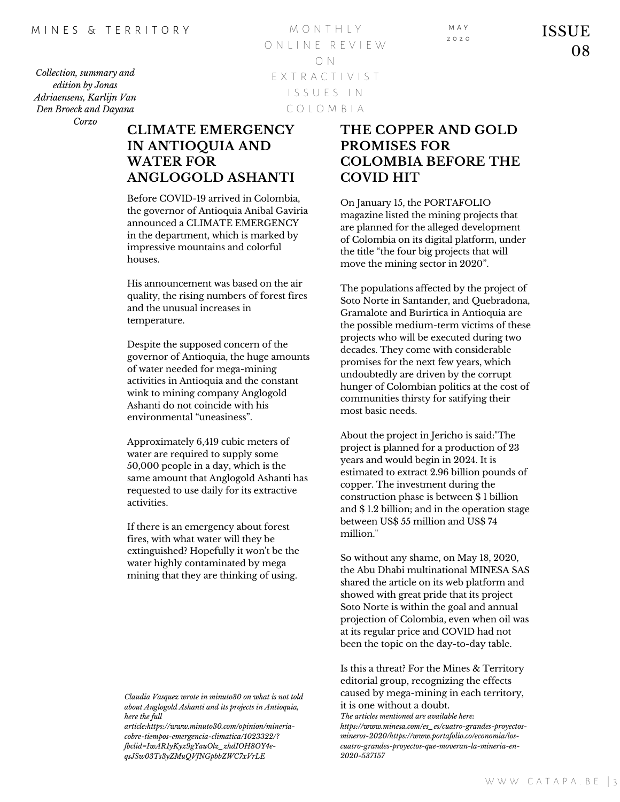*Collection, summary and edition by Jonas Adriaensens, Karlijn Van Den Broeck and Dayana Corzo*

M O N T H L Y O N L I N E R E V I E W O N E X T R A C T I V I S T I S S U E S I N C O L O M B I A

# **CLIMATE EMERGENCY IN ANTIOQUIA AND WATER FOR ANGLOGOLD ASHANTI**

Before COVID-19 arrived in Colombia, the governor of Antioquia Anibal Gaviria announced a CLIMATE EMERGENCY in the department, which is marked by impressive mountains and colorful houses.

His announcement was based on the air quality, the rising numbers of forest fires and the unusual increases in temperature.

Despite the supposed concern of the governor of Antioquia, the huge amounts of water needed for mega-mining activities in Antioquia and the constant wink to mining company Anglogold Ashanti do not coincide with his environmental "uneasiness".

Approximately 6,419 cubic meters of water are required to supply some 50,000 people in a day, which is the same amount that Anglogold Ashanti has requested to use daily for its extractive activities.

If there is an emergency about forest fires, with what water will they be extinguished? Hopefully it won't be the water highly contaminated by mega mining that they are thinking of using.

*article:https://www.minuto30.com/opinion/mineriacobre-tiempos-emergencia-climatica/1023322/? fbclid=IwAR1yKyz9gYauOlz\_zhdIOH8OY4eqsJSw03Ts3yZMuQVfNGpbbZWC7xVrLE*

# **THE COPPER AND GOLD PROMISES FOR COLOMBIA BEFORE THE COVID HIT**

On January 15, the PORTAFOLIO magazine listed the mining projects that are planned for the alleged development of Colombia on its digital platform, under the title "the four big projects that will move the mining sector in 2020".

The populations affected by the project of Soto Norte in Santander, and Quebradona, Gramalote and Burirtica in Antioquia are the possible medium-term victims of these projects who will be executed during two decades. They come with considerable promises for the next few years, which undoubtedly are driven by the corrupt hunger of Colombian politics at the cost of communities thirsty for satifying their most basic needs.

About the project in Jericho is said:"The project is planned for a production of 23 years and would begin in 2024. It is estimated to extract 2.96 billion pounds of copper. The investment during the construction phase is between \$ 1 billion and \$ 1.2 billion; and in the operation stage between US\$ 55 million and US\$ 74 million."

So without any shame, on May 18, 2020, the Abu Dhabi multinational MINESA SAS shared the article on its web platform and showed with great pride that its project Soto Norte is within the goal and annual projection of Colombia, even when oil was at its regular price and COVID had not been the topic on the day-to-day table.

Is this a threat? For the Mines & Territory editorial group, recognizing the effects caused by mega-mining in each territory, it is one without a doubt.

*Claudia Vasquez wrote in minuto30 on what is not told about Anglogold Ashanti and its projects in Antioquia, here the full*

*The articles mentioned are available here: https://www.minesa.com/es\_es/cuatro-grandes-proyectosmineros-2020/https://www.portafolio.co/economia/loscuatro-grandes-proyectos-que-moveran-la-mineria-en-2020-537157*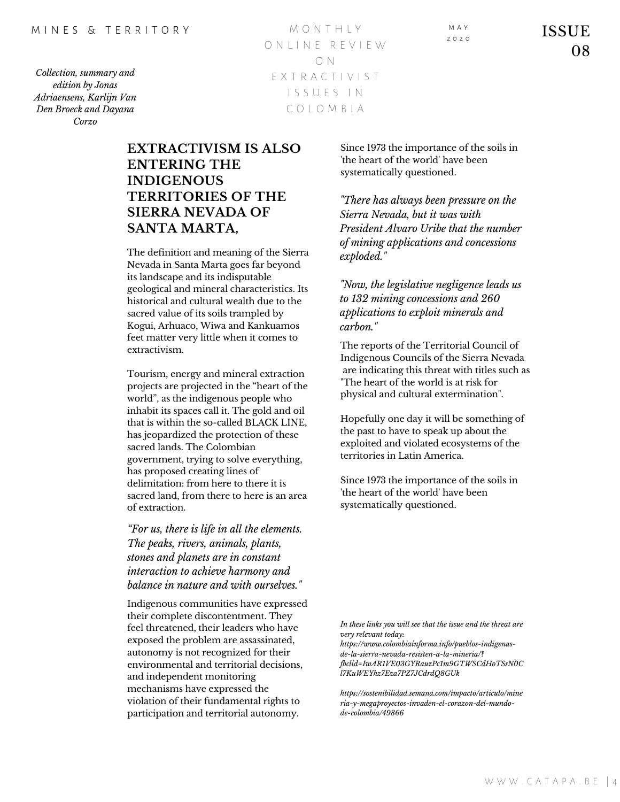ISSUE 08

*Collection, summary and edition by Jonas Adriaensens, Karlijn Van Den Broeck and Dayana Corzo*

M O N T H L Y O N L I N E R E V I E W O N E X T R A C T I V I S T I S S U E S I N C O L O M B I A

# **EXTRACTIVISM IS ALSO ENTERING THE INDIGENOUS TERRITORIES OF THE SIERRA NEVADA OF SANTA MARTA,**

The definition and meaning of the Sierra Nevada in Santa Marta goes far beyond its landscape and its indisputable geological and mineral characteristics. Its historical and cultural wealth due to the sacred value of its soils trampled by Kogui, Arhuaco, Wiwa and Kankuamos feet matter very little when it comes to extractivism.

Tourism, energy and mineral extraction projects are projected in the "heart of the world", as the indigenous people who inhabit its spaces call it. The gold and oil that is within the so-called BLACK LINE, has jeopardized the protection of these sacred lands. The Colombian government, trying to solve everything, has proposed creating lines of delimitation: from here to there it is sacred land, from there to here is an area of extraction.

*"For us, there is life in all the elements. The peaks, rivers, animals, plants, stones and planets are in constant interaction to achieve harmony and balance in nature and with ourselves."*

Indigenous communities have expressed their complete discontentment. They feel threatened, their leaders who have exposed the problem are assassinated, autonomy is not recognized for their environmental and territorial decisions, and independent monitoring mechanisms have expressed the violation of their fundamental rights to participation and territorial autonomy.

Since 1973 the importance of the soils in 'the heart of the world' have been systematically questioned.

*"There has always been pressure on the Sierra Nevada, but it was with President Alvaro Uribe that the number of mining applications and concessions exploded."*

*"Now, the legislative negligence leads us to 132 mining concessions and 260 applications to exploit minerals and carbon."*

The reports of the Territorial Council of Indigenous Councils of the Sierra Nevada are indicating this threat with titles such as "The heart of the world is at risk for physical and cultural extermination".

Hopefully one day it will be something of the past to have to speak up about the exploited and violated ecosystems of the territories in Latin America.

Since 1973 the importance of the soils in 'the heart of the world' have been systematically questioned.

*https://sostenibilidad.semana.com/impacto/articulo/mine ria-y-megaproyectos-invaden-el-corazon-del-mundode-colombia/49866*

*fbclid=IwAR1VE03GYRauzPc1m9GTWSCdHoTSsN0C*

*In these links you will see that the issue and the threat are*

*https://www.colombiainforma.info/pueblos-indigenasde-la-sierra-nevada-resisten-a-la-mineria/?*

*very relevant today:*

M A Y  $2020$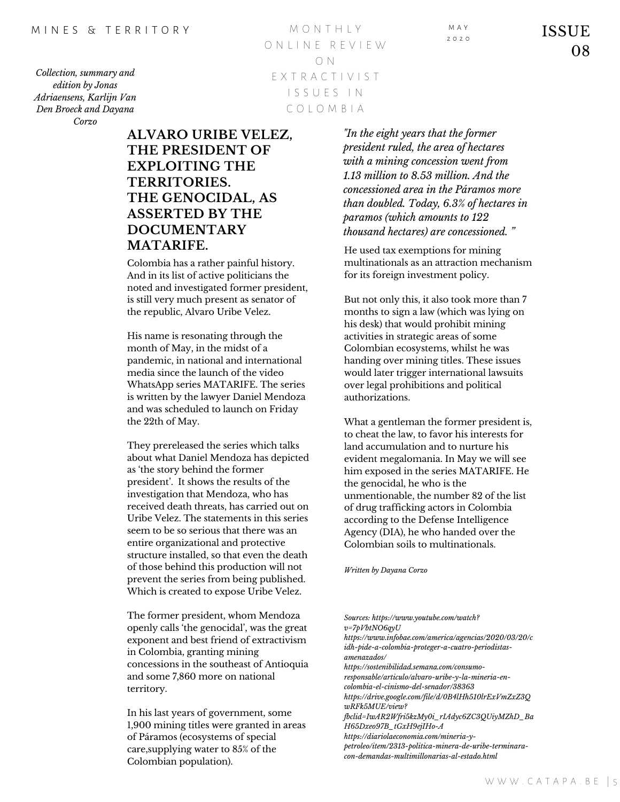*amenazados/ https://sostenibilidad.semana.com/consumo-*

*https://www.infobae.com/america/agencias/2020/03/20/c*

*Sources: https://www.youtube.com/watch?*

*responsable/articulo/alvaro-uribe-y-la-mineria-encolombia-el-cinismo-del-senador/38363*

*https://drive.google.com/file/d/0B4lHh510lrExVmZxZ3Q wRFk5MUE/view?*

*fbclid=IwAR2Wfri5kzMy0i\_rIAdyc6ZC3QUiyMZhD\_Ba H65Dxeo97B\_tGxH9ejIHo-A https://diariolaeconomia.com/mineria-y-*

*petroleo/item/2313-politica-minera-de-uribe-terminaracon-demandas-multimillonarias-al-estado.html*

*Collection, summary and edition by Jonas Adriaensens, Karlijn Van Den Broeck and Dayana Corzo*

M O N T H L Y O N L I N E R E V I E W O N E X T R A C T I V I S T I S S U E S I N C O L O M B I A

**ALVARO URIBE VELEZ, THE PRESIDENT OF EXPLOITING THE TERRITORIES. THE GENOCIDAL, AS ASSERTED BY THE DOCUMENTARY MATARIFE.**

Colombia has a rather painful history. And in its list of active politicians the noted and investigated former president, is still very much present as senator of the republic, Alvaro Uribe Velez.

His name is resonating through the month of May, in the midst of a pandemic, in national and international media since the launch of the video WhatsApp series MATARIFE. The series is written by the lawyer Daniel Mendoza and was scheduled to launch on Friday the 22th of May.

They prereleased the series which talks about what Daniel Mendoza has depicted as 'the story behind the former president'. It shows the results of the investigation that Mendoza, who has received death threats, has carried out on Uribe Velez. The statements in this series seem to be so serious that there was an entire organizational and protective structure installed, so that even the death of those behind this production will not prevent the series from being published. Which is created to expose Uribe Velez.

The former president, whom Mendoza openly calls 'the genocidal', was the great exponent and best friend of extractivism in Colombia, granting mining concessions in the southeast of Antioquia and some 7,860 more on national territory.

In his last years of government, some 1,900 mining titles were granted in areas of Páramos (ecosystems of special care,supplying water to 85% of the Colombian population).

*"In the eight years that the former president ruled, the area of hectares with a mining concession went from 1.13 million to 8.53 million. And the concessioned area in the Páramos more than doubled. Today, 6.3% of hectares in paramos (which amounts to 122 thousand hectares) are concessioned. "*

He used tax exemptions for mining multinationals as an attraction mechanism for its foreign investment policy.

But not only this, it also took more than 7 months to sign a law (which was lying on his desk) that would prohibit mining activities in strategic areas of some Colombian ecosystems, whilst he was handing over mining titles. These issues would later trigger international lawsuits over legal prohibitions and political authorizations.

What a gentleman the former president is, to cheat the law, to favor his interests for land accumulation and to nurture his evident megalomania. In May we will see him exposed in the series MATARIFE. He the genocidal, he who is the unmentionable, the number 82 of the list of drug trafficking actors in Colombia according to the Defense Intelligence Agency (DIA), he who handed over the Colombian soils to multinationals.

*Written by Dayana Corzo*

*v=7pVbtNO6qyU*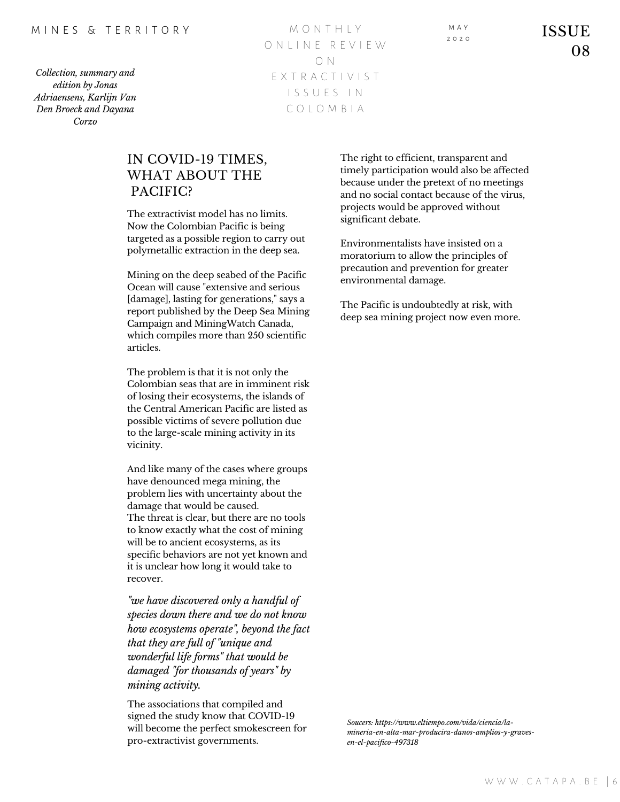#### M I N F S & T F R R I T O R Y

*Collection, summary and edition by Jonas Adriaensens, Karlijn Van Den Broeck and Dayana Corzo*

M O N T H L Y O N L I N E R E V I E W O N E X T R A C T I V I S T I S S U E S I N C O L O M B I A

M A Y  $2020$ 

ISSUE 08

### IN COVID-19 TIMES, WHAT ABOUT THE PACIFIC?

The extractivist model has no limits. Now the Colombian Pacific is being targeted as a possible region to carry out polymetallic extraction in the deep sea.

Mining on the deep seabed of the Pacific Ocean will cause "extensive and serious [damage], lasting for generations," says a report published by the Deep Sea Mining Campaign and MiningWatch Canada, which compiles more than 250 scientific articles.

The problem is that it is not only the Colombian seas that are in imminent risk of losing their ecosystems, the islands of the Central American Pacific are listed as possible victims of severe pollution due to the large-scale mining activity in its vicinity.

And like many of the cases where groups have denounced mega mining, the problem lies with uncertainty about the damage that would be caused. The threat is clear, but there are no tools to know exactly what the cost of mining will be to ancient ecosystems, as its specific behaviors are not yet known and it is unclear how long it would take to recover.

*"we have discovered only a handful of species down there and we do not know how ecosystems operate", beyond the fact that they are full of "unique and wonderful life forms" that would be damaged "for thousands of years" by mining activity.*

The associations that compiled and signed the study know that COVID-19 will become the perfect smokescreen for pro-extractivist governments.

The right to efficient, transparent and timely participation would also be affected because under the pretext of no meetings and no social contact because of the virus, projects would be approved without significant debate.

Environmentalists have insisted on a moratorium to allow the principles of precaution and prevention for greater environmental damage.

The Pacific is undoubtedly at risk, with deep sea mining project now even more.

*Soucers: https://www.eltiempo.com/vida/ciencia/lamineria-en-alta-mar-producira-danos-amplios-y-gravesen-el-pacifico-497318*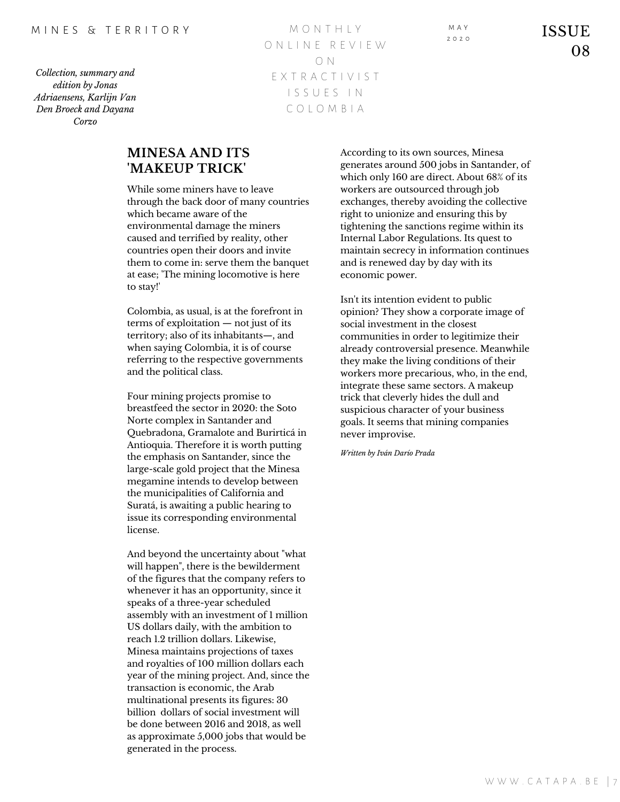W W W .  $C$  A T A P A . B E  $|7$ 

*Collection, summary and edition by Jonas Adriaensens, Karlijn Van Den Broeck and Dayana Corzo*

M O N T H L Y O N L I N E R E V I E W O N E X T R A C T I V I S T I S S U E S I N C O L O M B I A

**MINESA AND ITS 'MAKEUP TRICK'**

While some miners have to leave through the back door of many countries which became aware of the environmental damage the miners caused and terrified by reality, other countries open their doors and invite them to come in: serve them the banquet at ease; 'The mining locomotive is here to stay!'

Colombia, as usual, is at the forefront in terms of exploitation — not just of its territory; also of its inhabitants—, and when saying Colombia, it is of course referring to the respective governments and the political class.

Four mining projects promise to breastfeed the sector in 2020: the Soto Norte complex in Santander and Quebradona, Gramalote and Burirticá in Antioquia. Therefore it is worth putting the emphasis on Santander, since the large-scale gold project that the Minesa megamine intends to develop between the municipalities of California and Suratá, is awaiting a public hearing to issue its corresponding environmental license.

And beyond the uncertainty about "what will happen", there is the bewilderment of the figures that the company refers to whenever it has an opportunity, since it speaks of a three-year scheduled assembly with an investment of 1 million US dollars daily, with the ambition to reach 1.2 trillion dollars. Likewise, Minesa maintains projections of taxes and royalties of 100 million dollars each year of the mining project. And, since the transaction is economic, the Arab multinational presents its figures: 30 billion dollars of social investment will be done between 2016 and 2018, as well as approximate 5,000 jobs that would be generated in the process.

According to its own sources, Minesa generates around 500 jobs in Santander, of which only 160 are direct. About 68% of its workers are outsourced through job exchanges, thereby avoiding the collective right to unionize and ensuring this by tightening the sanctions regime within its Internal Labor Regulations. Its quest to maintain secrecy in information continues and is renewed day by day with its economic power.

Isn't its intention evident to public opinion? They show a corporate image of social investment in the closest communities in order to legitimize their already controversial presence. Meanwhile they make the living conditions of their workers more precarious, who, in the end, integrate these same sectors. A makeup trick that cleverly hides the dull and suspicious character of your business goals. It seems that mining companies never improvise.

*Written by Iván Darío Prada*

M A Y  $2020$